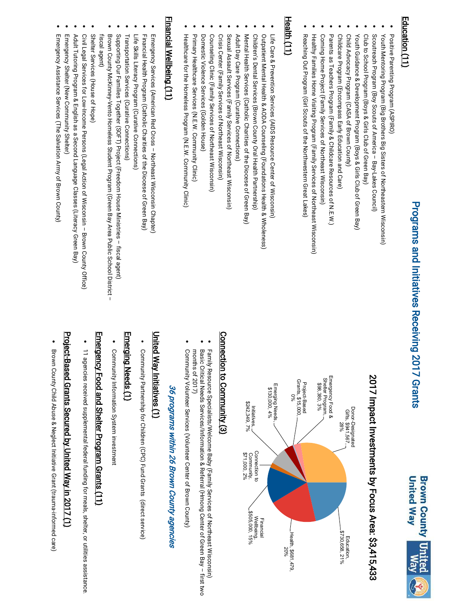#### Pro<br>Pro <u>a</u>  $\blacksquare$ s a n d I nitiatives Receivin ۵<br>۲ 017 Gra nts



#### E d u c atio n (11)

Positive Parenting Program (ASPIRO) Positive Parenting Program (ASPIRO)

 $\bullet$ 

 $\bullet$ 

- Youth Mentoring Program (Big Brothers Big Sisters of Northeastern Wisconsin) Youth Mentoring Program (Big Brothers Big Sisters of Northeastern Wisconsin)
- $\ddot{\phantom{0}}$  $\bullet$ Scoutreach Program (Boy Scouts of America Scoutreach Program (Boy Scouts of America - Bay-Lakes Council) Bay-Lakes Council)
- $\bullet$ Club to School Program (Boys & Girls Club of Green Bay) Club to School Program (Boys & Girls Club of Green Bay) to School I  $5.5$
- $\bullet$ Youth Guidance & Development Program (Boys & Girls Club of Green Bay) Youth Guidance & Development Program (Boys & Girls Club of Green Bay) Education
- Child Advocacy Program (CASA of Brown County)  $\bullet$ Child Advocacy Program (CASA of Brown County)
- $\bullet$ Childcare Program (Encompass Early Education and Care) Childcare Program (Encompass Early Education and Care) \$114,722, 5%
- $\bullet$ Parents as Teachers Program (Family & Childcare Resources of N.E.W.) Parents as Teachers Program (Family & Childcare Resources of N.E.W.) Self-Superince
- $\bullet$ Coming Home Project (Family Services of Northeast Wisconsin) Coming Home Project (Family Services of Northeast Wisconsin) Community Connectivity
- $\bullet$ Healthy Families Home Visiting Program (Family Services of Northeast Wisconsin) Healthy Families Home Visiting Program (Family Services of Northeast Wisconsin) Initiatives
- Reaching Out Program (Girl Scouts of the Northwestern Great Lakes) Reaching Out Program (Girl Scouts of the Northwestern Great Lakes)  $\sum_{i=1}^{5}$ ا<br>دهستنده م

#### H e alt h (11)

 $\bullet$ 

 $\bullet$ 

- Life Care & Prevention Services (AIDS Resource Center of Wisconsin) Life Care & Prevention Services (AIDS Resource Center of Wisconsin)
- $\bullet$ Outpatient Mental Health & AODA Counseling (Foundations Health & Wholeness) Outpatient Mental Health & AODA Counseling (Foundations Health & Wholeness)
- $\bullet$ Children's Dental Services (Brown County Oral Health Partnership) Children's Dental Services (Brown County Oral Health Partnership)
- $\bullet$ Mental Health Services (Catholic Charities of the Diocese of Green Bay) Mental Health Services (Catholic Charities of the Diocese of Green Bay)
- $\bullet$ Adult Day Care Program (Curative Connections) Adult Day Care Program (Curative Connections)
- $\bullet$ Sexual Assault Services (Family Services of Northeast Wisconsin) Sexual Assault Services (Family Services of Northeast Wisconsin)
- $\bullet$ Crisis Center (Family Services of Northeast Wisconsin) Crisis Center (Family Services of Northeast Wisconsin)
- $\bullet$ Counseling Clinic (Family Services of Northeast Wisconsin) Counseling Clinic (Family Services of Northeast Wisconsin)
- $\bullet$ Domestic Violence Services (Golden House) Domestic Violence Services (Golden House)
- Primary Healthcare Services (N.E.W. Community Clinic) Primary Healthcare Services (N.E.W. Community Clinic)

 $\bullet$ 

 $\bullet$ 

Healthcare for the Homeless Program (N.E.W. Community Clinic) Healthcare for the Homeless Program (N.E.W. Community Clinic)

#### Finan cial W 윤 $\frac{\infty}{\overline{ \sigma}}$ e<br>E g (11)

- $\bullet$ Emergency Services (American Red Cross Emergency Services (American Red Cross - Northeast Wisconsin Chapter) Northeast Wisconsin Chapter)
- $\bullet$ Financial Health Program (Catholic Charities of the Diocese of Green Bay) Financial Health Program (Catholic Charities of the Diocese of Green Bay)
- $\bullet$ Life Skills Literacy Program (Curative Connections) Life Skills Literacy Program (Curative Connections)
- 
- $\bullet$ Transportation Services (Curative Connections) Transportation Services (Curative Connections)
- $\bullet$ Supporting Our Families Together (SOFT) Project (Freedom House Ministries Supporting Our Families Together (SOFT) Project (Freedom House Ministries - fiscal agent) fiscal agent)
- $\bullet$ Brown County McKinney-Vento Homeless Student Program (Green Bay Area Public School District fiscal agent) Brown County McKinney-Vento Homeless Student Program (Green Bay Area Public School District –<br>fiscal agent) Brown County McKinney-Vento Homeless Student Program (Green Bay Area Public School District
- $\bullet$ Shelter Services (House of Hope) Shelter Services (House of Hope)
- $\bullet$ Civil Legal Services for Low-Income Persons (Legal Action of Wisconsin Civil Legal Services for Low-Income Persons (Legal Action of Wisconsin - Brown County Office) Brown County Office)
- 
- $\bullet$ Adult Tutoring Program & English as a Second Language Classes (Literacy Green Bay) Adult Tutoring Program & English as a Second Language Classes (Literacy Green Bay)
- $\bullet$ Emergency Shelter (New Community Shelter) Emergency Shelter (New Community Shelter)
- Emergency Assistance Services (The Salvation Army of Brown County Emergency Assistance Services (The Salvation Army of Brown County)

 $\bullet$ 

### <u>201</u> 7 Im p a ct I n v e stm e nts b y F o c u s Are .<br>33<br>23 415,4 3 3



#### C o n n e ctio n to C o m m<br>Elit  $\sum_{i=1}^{\infty}$

- $\bullet$ Family Resource Specialists/Welcome Baby (Family Services of Northeast Wisconsin) Family Resource Specialists/Welcome Baby (Family Services of Northeast Wisconsin)
- Basic Critical Needs Services/Information & Referral (Hmong Center of Green Bay Basic Critical Needs Services/Information & Referral (Hmong Center of Green Bay - first two first two

 $\bullet$ 

 $\bullet$ 

- months of 2017) months of 2017)
- Community Volunteer Services (Volunteer Center of Brown County) Community Volunteer Services (Volunteer Center of Brown County)

## 36 programs within 26 Brown County agencies 36 programs within 26 Brown County agencies

### U nit e d W ay Initiativ e s (1)

• Community Partnership for Children (CPC) Fund Grants (direct service) Community Partnership for Children (CPC) Fund Grants (direct service)

#### E m ergin g Needs (1)

 $\bullet$ Community Information System investment Community Information System investment

#### E m ergency Food a nd S h elt er Pro gra m Gra nts (11)

# $\bullet$ 11 agencies received supplemental federal funding for meals, shelter, or utilities assistance 11 agencies received supplemental federal funding for meals, shelter, or utilities assistance.

### Pro je ct-Ba s e d Gra nts S e c ure a<br>o  $\bf \Xi$ nit e d W a y in 2 017 (1)

● Brown County Child Abuse & Neglect Initiative Grant (trauma-informed care) Brown County Child Abuse & Neglect Initiative Grant (trauma-informed care)